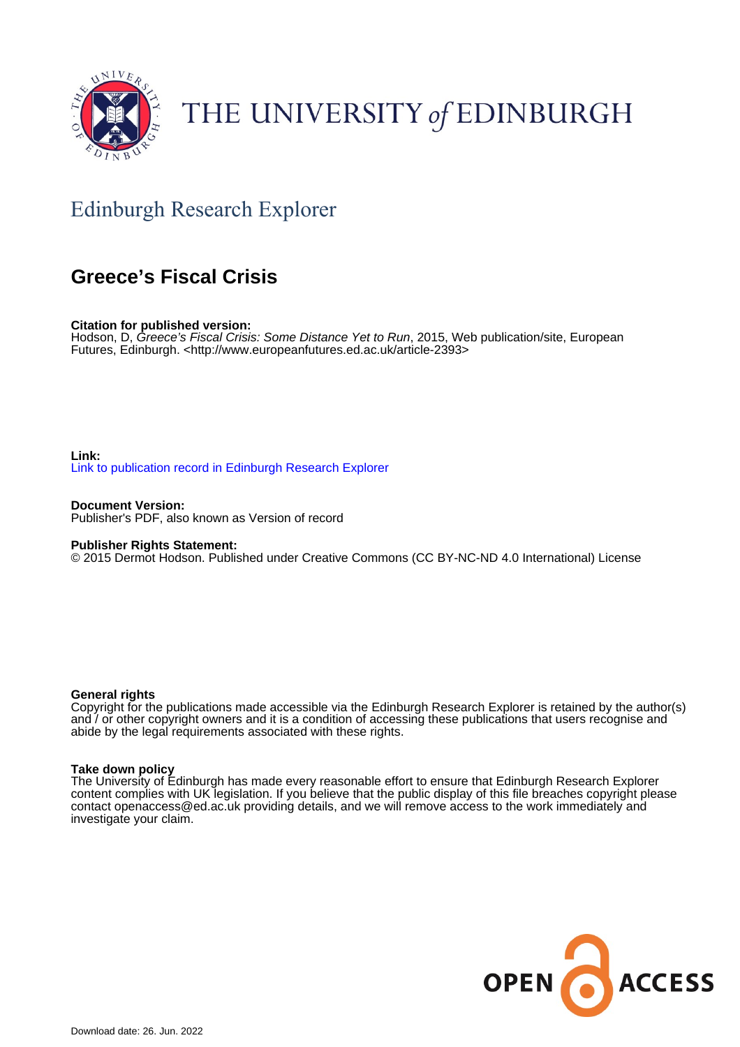

## THE UNIVERSITY of EDINBURGH

### Edinburgh Research Explorer

### **Greece's Fiscal Crisis**

**Citation for published version:**

Hodson, D, Greece's Fiscal Crisis: Some Distance Yet to Run, 2015, Web publication/site, European Futures, Edinburgh. [<http://www.europeanfutures.ed.ac.uk/article-2393](http://www.europeanfutures.ed.ac.uk/article-2393)>

### **Link:** [Link to publication record in Edinburgh Research Explorer](https://www.research.ed.ac.uk/en/publications/4d15f1ea-c923-4249-989d-3f0df41fa287)

**Document Version:** Publisher's PDF, also known as Version of record

#### **Publisher Rights Statement:**

© 2015 Dermot Hodson. Published under Creative Commons (CC BY-NC-ND 4.0 International) License

#### **General rights**

Copyright for the publications made accessible via the Edinburgh Research Explorer is retained by the author(s) and / or other copyright owners and it is a condition of accessing these publications that users recognise and abide by the legal requirements associated with these rights.

#### **Take down policy**

The University of Edinburgh has made every reasonable effort to ensure that Edinburgh Research Explorer content complies with UK legislation. If you believe that the public display of this file breaches copyright please contact openaccess@ed.ac.uk providing details, and we will remove access to the work immediately and investigate your claim.

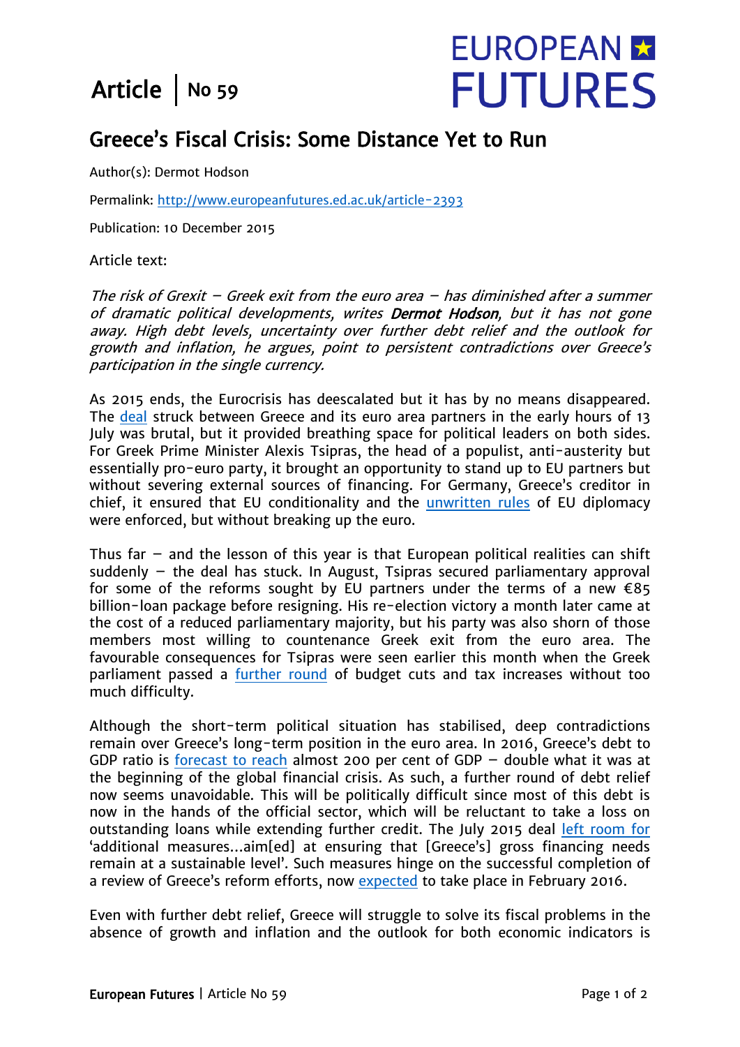## Article  $\vert$  No 59

# **EUROPEAN M FUTURES**

### Greece's Fiscal Crisis: Some Distance Yet to Run

Author(s): Dermot Hodson

Permalink: http://www.europeanfutures.ed.ac.uk/article-2393

Publication: 10 December 2015

Article text:

The risk of Grexit – Greek exit from the euro area – has diminished after a summer of dramatic political developments, writes Dermot Hodson, but it has not gone away. High debt levels, uncertainty over further debt relief and the outlook for growth and inflation, he argues, point to persistent contradictions over Greece's participation in the single currency.

As 2015 ends, the Eurocrisis has deescalated but it has by no means disappeared. The [deal](http://www.consilium.europa.eu/en/press/press-releases/2015/07/pdf/20150712-eurosummit-statement-greece/) struck between Greece and its euro area partners in the early hours of 13 July was brutal, but it provided breathing space for political leaders on both sides. For Greek Prime Minister Alexis Tsipras, the head of a populist, anti-austerity but essentially pro-euro party, it brought an opportunity to stand up to EU partners but without severing external sources of financing. For Germany, Greece's creditor in chief, it ensured that EU conditionality and the [unwritten rules](http://blogs.lse.ac.uk/europpblog/2015/08/26/what-the-new-intergovernmentalism-can-tell-us-about-the-greek-crisis/) of EU diplomacy were enforced, but without breaking up the euro.

Thus far  $-$  and the lesson of this year is that European political realities can shift suddenly – the deal has stuck. In August, Tsipras secured parliamentary approval for some of the reforms sought by EU partners under the terms of a new  $\epsilon$ 85 billion-loan package before resigning. His re-election victory a month later came at the cost of a reduced parliamentary majority, but his party was also shorn of those members most willing to countenance Greek exit from the euro area. The favourable consequences for Tsipras were seen earlier this month when the Greek parliament passed a [further round](http://www.reuters.com/article/us-eurozone-greece-budget-idUSKBN0TO0SF20151206) of budget cuts and tax increases without too much difficulty.

Although the short-term political situation has stabilised, deep contradictions remain over Greece's long-term position in the euro area. In 2016, Greece's debt to GDP ratio is [forecast to reach](http://ec.europa.eu/economy_finance/eu/forecasts/2015_autumn/el_en.pdf) almost 200 per cent of GDP – double what it was at the beginning of the global financial crisis. As such, a further round of debt relief now seems unavoidable. This will be politically difficult since most of this debt is now in the hands of the official sector, which will be reluctant to take a loss on outstanding loans while extending further credit. The July 2015 deal [left room for](http://www.consilium.europa.eu/en/press/press-releases/2015/07/pdf/20150712-eurosummit-statement-greece) 'additional measures…aim[ed] at ensuring that [Greece's] gross financing needs remain at a sustainable level'. Such measures hinge on the successful completion of a review of Greece's reform efforts, now [expected](http://uk.reuters.com/article/uk-eurozone-greece-idUKKBN0TM19S20151203) to take place in February 2016.

Even with further debt relief, Greece will struggle to solve its fiscal problems in the absence of growth and inflation and the outlook for both economic indicators is